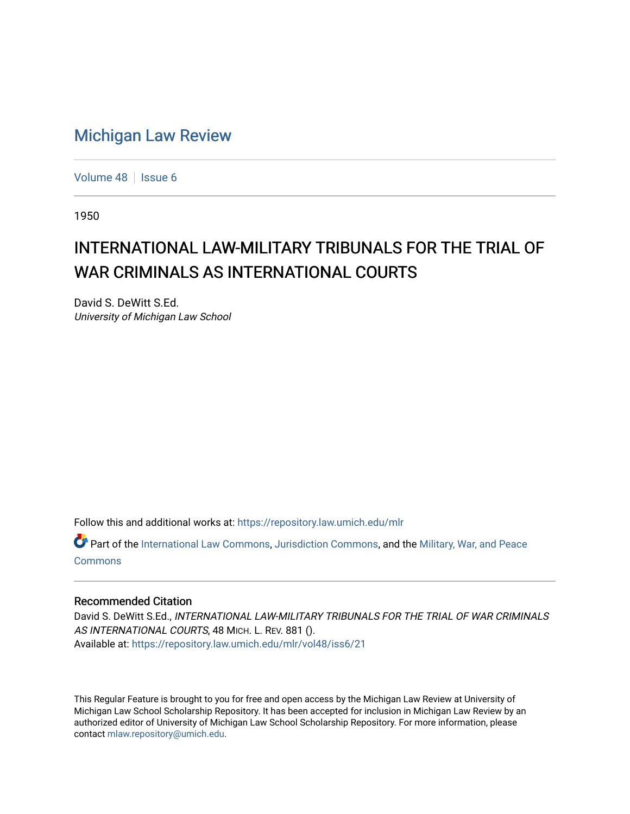## [Michigan Law Review](https://repository.law.umich.edu/mlr)

[Volume 48](https://repository.law.umich.edu/mlr/vol48) | [Issue 6](https://repository.law.umich.edu/mlr/vol48/iss6)

1950

## INTERNATIONAL LAW-MILITARY TRIBUNALS FOR THE TRIAL OF WAR CRIMINALS AS INTERNATIONAL COURTS

David S. DeWitt S.Ed. University of Michigan Law School

Follow this and additional works at: [https://repository.law.umich.edu/mlr](https://repository.law.umich.edu/mlr?utm_source=repository.law.umich.edu%2Fmlr%2Fvol48%2Fiss6%2F21&utm_medium=PDF&utm_campaign=PDFCoverPages) 

Part of the [International Law Commons,](http://network.bepress.com/hgg/discipline/609?utm_source=repository.law.umich.edu%2Fmlr%2Fvol48%2Fiss6%2F21&utm_medium=PDF&utm_campaign=PDFCoverPages) [Jurisdiction Commons,](http://network.bepress.com/hgg/discipline/850?utm_source=repository.law.umich.edu%2Fmlr%2Fvol48%2Fiss6%2F21&utm_medium=PDF&utm_campaign=PDFCoverPages) and the [Military, War, and Peace](http://network.bepress.com/hgg/discipline/861?utm_source=repository.law.umich.edu%2Fmlr%2Fvol48%2Fiss6%2F21&utm_medium=PDF&utm_campaign=PDFCoverPages)  **[Commons](http://network.bepress.com/hgg/discipline/861?utm_source=repository.law.umich.edu%2Fmlr%2Fvol48%2Fiss6%2F21&utm_medium=PDF&utm_campaign=PDFCoverPages)** 

## Recommended Citation

David S. DeWitt S.Ed., INTERNATIONAL LAW-MILITARY TRIBUNALS FOR THE TRIAL OF WAR CRIMINALS AS INTERNATIONAL COURTS, 48 MICH. L. REV. 881 (). Available at: [https://repository.law.umich.edu/mlr/vol48/iss6/21](https://repository.law.umich.edu/mlr/vol48/iss6/21?utm_source=repository.law.umich.edu%2Fmlr%2Fvol48%2Fiss6%2F21&utm_medium=PDF&utm_campaign=PDFCoverPages) 

This Regular Feature is brought to you for free and open access by the Michigan Law Review at University of Michigan Law School Scholarship Repository. It has been accepted for inclusion in Michigan Law Review by an authorized editor of University of Michigan Law School Scholarship Repository. For more information, please contact [mlaw.repository@umich.edu](mailto:mlaw.repository@umich.edu).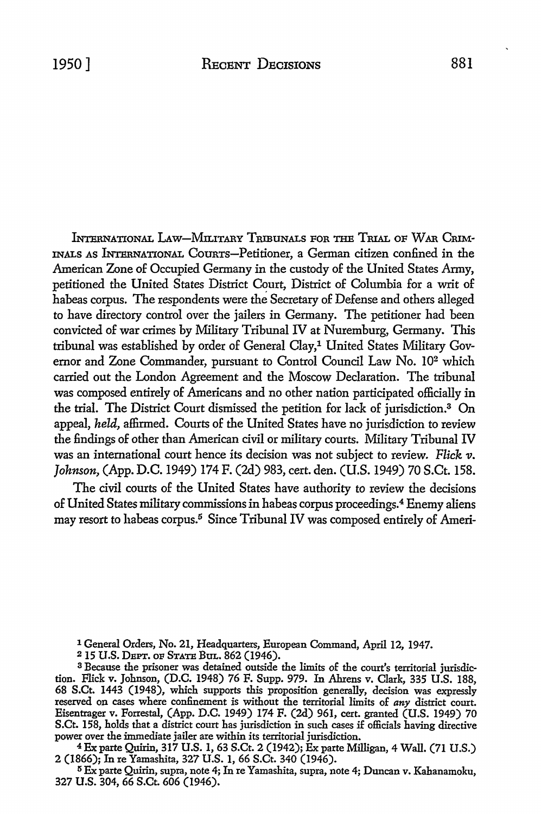INTERNATIONAL LAW-MILITARY TRIBUNALS FOR THE TRIAL OF WAR CRIM-INALS AS INTERNATIONAL COURTS-Petitioner, a German citizen confined in the American Zone of Occupied Germany in the custody of the United States Army, petitioned the United States District Court, District of Columbia for a writ of habeas corpus. The respondents were the Secretary of Defense and others alleged to have directory control over the jailers in Germany. The petitioner had been convicted of war crimes by Military Tribunal IV at Nuremburg, Germany. This tribunal was established by order of General Clay,<sup>1</sup> United States Military Governor and Zone Commander, pursuant to Control Council Law No. 102 which carried out the London Agreement and the Moscow Declaration. The tribunal was composed entirely of Americans and no other nation participated officially in the trial. The District Court dismissed the petition for lack of jurisdiction.3 On appeal, *held,* affirmed. Courts of the United States have no jurisdiction to review the findings of other than American civil or military courts. Military Tribunal IV was an international court hence its decision was not subject to review. *Flick v. Johnson,* (App. D.C. 1949) 174 F. (2d) 983, cert. den. (U.S. 1949) 70 S.Ct. 158.

The civil courts of the United States have authority to review the decisions of United States military commissions in habeas corpus proceedings.4 Enemy aliens may resort to habeas corpus.<sup>5</sup> Since Tribunal IV was composed entirely of Ameri-

1 General Orders, No. 21, Headquarters, European Command, April 12, 1947.

215 U.S. DEPT. OF STATE BUL. 862 (1946).

3 Because the prisoner was detained outside the limits of the court's territorial jurisdiction. Flick v. Johnson, (D.C. 1948) 76 F. Supp. 979. In Ahrens v. Clark, 335 U.S. 188, 68 S.Ct. 1443 (1948), which supports this proposition generally, decision was expressly reserved on cases where confinement is without the territorial limits of any district court. Eisentrager v. Forrestal, (App. D.C. 1949) 174 F. (2d) 961, cert. granted (U.S. 1949) 70 S.Ct. 158, holds that a district court has jurisdiction in such cases if officials having directive power over the immediate jailer are within its territorial jurisdiction.

<sup>4</sup>Exparte Quirin, 317 U.S. I, 63 S.Ct. 2 (1942); Ex parte Milligan, 4 Wall. (71 U.S.) 2 (1866); In re Yamashita, 327 U.S. I, 66 S.Ct. 340 (1946).

<sup>5</sup>Ex parte Quirin, supra, note 4; In re Yamashita, supra, note 4; Duncan v. Kahanamoku, 327 U.S. 304, 66 S.Ct. 606 (1946).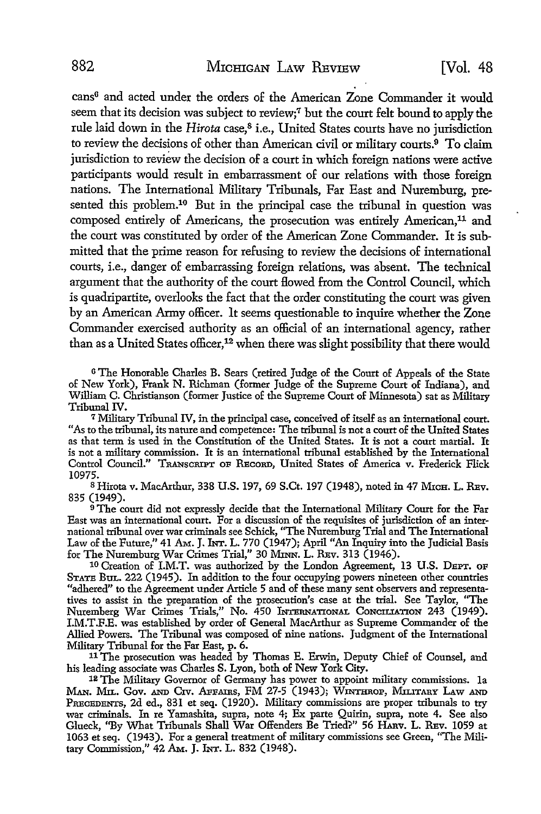cans<sup>6</sup> and acted under the orders of the American Zone Commander it would seem that its decision was subject to review;7 but the court felt bound to apply the rule laid down in the *Hirota* case,<sup>8</sup> i.e., United States courts have no jurisdiction to review the decisions of other than American civil or military courts.9 To claim jurisdiction to review the decision of a court in which foreign nations were active participants would result in embarrassment of our relations with those foreign nations. The International Military Tribunals, Far East and Nuremburg, presented this problem.<sup>10</sup> But in the principal case the tribunal in question was composed entirely of Americans, the prosecution was entirely American,<sup>11</sup> and the court was constituted by order of the American Zone Commander. It is submitted that the prime reason for refusing to review the decisions of international courts, i.e., danger of embarrassing foreign relations, was absent. The technical argument that the authority of the court flowed from the Control Council, which is quadripartite, overlooks the fact that the order constituting the court was given by an American Anny officer. It seems questionable to inquire whether the Zone Commander exercised authority as an official of an international agency, rather than as a United States officer,<sup>12</sup> when there was slight possibility that there would

<sup>6</sup>The Honorable Charles B. Sears (retired Judge of the Court of Appeals of the State of New York), Frank N. Richman (former Judge of the Supreme Court of Indiana), and William C. Christianson (former Justice of the Supreme Court of Minnesota) sat as Military Tribunal IV.

<sup>7</sup>Military Tribunal IV, in the principal case, conceived of itself as an international court. "As to the tribunal, its nature and competence: The tribunal is not a court of the United States as that term is used in the Constitution of the United States. It is not a court martial. It is not a military commission. It is an international tribunal established by the International Control Council." TRANSCRIPT OF RECORD, United States of America v. Frederick Flick 10975.

<sup>8</sup> Hirota v. MacArthur, 338 U.S. 197, 69 S.Ct. 197 (1948), noted in 47 Мгсн. L. REv. 835 (1949).

<sup>9</sup> The court did not expressly decide that the International Military Court for the Far East was an international court. For a discussion of the requisites of jurisdiction of an international tribunal over war criminals see Schick, "The Nuremburg Trial and The International Law of the Future," 41 AM. J. INT. L. 770 (1947); April "An Inquiry into the Judicial Basis for The Nuremburg War Crimes Trial," 30 MINN. L. REv. 313 (1946).

10 Creation of I.M.T. was authorized by the London Agreement, 13 U.S. DEPT. OP STATE BuL. 222 (1945). In addition to the four occupying powers nineteen other countries "adhered" to the Agreement under Article 5 and of these many sent observers and representatives to assist in the preparation of the prosecution's case at the trial. See Taylor, "The Nuremberg War Crimes Trials," No. 450 INTERNATIONAL CONCILIATION 243 (1949). I.M.T.F.E. was established by order of General MacArthur as Supreme Commander of the Allied Powers. The Tribunal was composed of nine nations. Judgment of the International Military Tribunal for the Far East, p. 6.

<sup>11</sup>The prosecution was headed by Thomas E. Erwin, Deputy Chief of Counsel, and his leading associate was Charles S. Lyon, both of New York City.

12 The Military Governor of Germany has power to appoint military commissions. la MAN. MIL. GOV. AND CIV. AFFAIRS, FM 27-5 (1943); WINTHROP, MILITARY LAW AND PRECEDENTS, 2d ed., 831 et seq. (1920). Military commissions are proper tribunals to try war criminals. In re Yamashita, supra, note 4; Ex parte Quirin, supra, note 4. See also Glueck, "By What Tribunals Shall War Offenders Be Tried?" 56 HARV. L. REV. 1059 at 1063 et seq. (1943). For a general treatment of military commissions see Green, "The Military Commission," 42 AM. J. INT. L. 832 (1948).